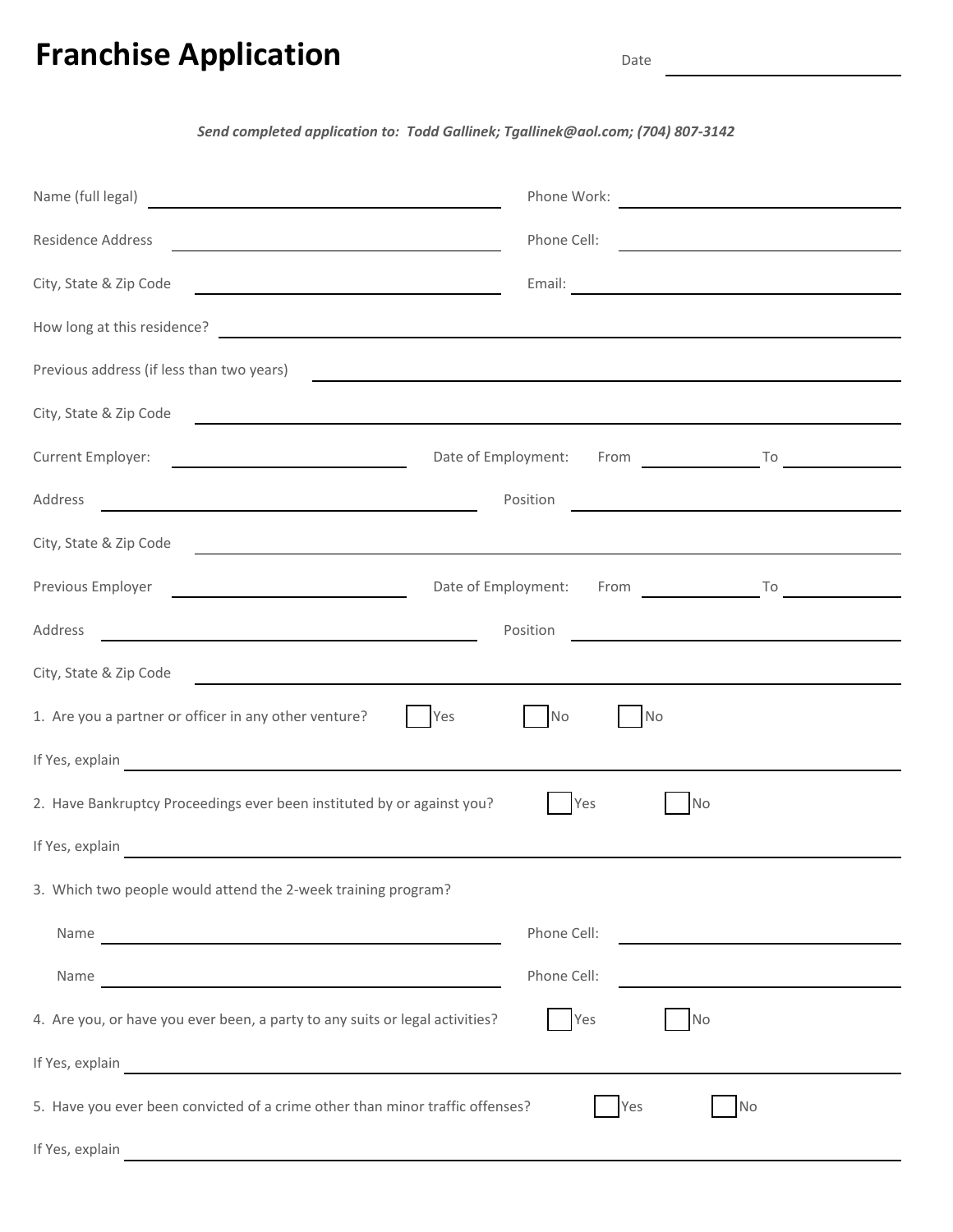# **Franchise Application** Date

#### Send completed application to: Todd Gallinek; Tgallinek@aol.com; (704) 807-3142

| Name (full legal)                                                                                                                                                                                                                    | Phone Work: <u>with the contract of the contract of the contract of the contract of the contract of the contract of the contract of the contract of the contract of the contract of the contract of the contract of the contract</u> |
|--------------------------------------------------------------------------------------------------------------------------------------------------------------------------------------------------------------------------------------|--------------------------------------------------------------------------------------------------------------------------------------------------------------------------------------------------------------------------------------|
| Residence Address<br><u> 1989 - Johann Barn, mars ann an t-Amhain ann an t-Amhain an t-Amhain an t-Amhain an t-Amhain ann an t-Amhain a</u>                                                                                          | Phone Cell:                                                                                                                                                                                                                          |
| City, State & Zip Code<br><u> 1989 - Johann Stoff, Amerikaansk politiker (</u>                                                                                                                                                       |                                                                                                                                                                                                                                      |
| How long at this residence?<br>The contract of the contract of the contract of the contract of the contract of the contract of the contract of the contract of the contract of the contract of the contract of the contract of t     |                                                                                                                                                                                                                                      |
| Previous address (if less than two years)                                                                                                                                                                                            | <u> 1989 - Johann Harry Barn, mars ar breist fan de Amerikaanske kommunenter fan de Amerikaanske kommunente fan d</u>                                                                                                                |
| City, State & Zip Code                                                                                                                                                                                                               | <u> 1989 - Johann Stein, marwolaethau a bhann an chomhair an chomhair an chomhair an chomhair an chomhair an chom</u>                                                                                                                |
| Date of Employment:<br>Current Employer:<br><u> 1980 - Andrea Andrew Maria (h. 19</u>                                                                                                                                                | From To To                                                                                                                                                                                                                           |
| Address<br><u> 1989 - Johann Barn, mars eta bainar eta baina eta baina eta baina eta baina eta baina eta baina eta baina e</u>                                                                                                       | Position<br><u> 1989 - Johann Stoff, fransk politik (d. 1989)</u>                                                                                                                                                                    |
| City, State & Zip Code                                                                                                                                                                                                               | <u> 1989 - Johann Stoff, die besteht der Stoffen und der Stoffen und der Stoffen und der Stoffen und der Stoffen</u>                                                                                                                 |
| Previous Employer <u>contract and the previous contract of the set of the set of the set of the set of the set of the set of the set of the set of the set of the set of the set of the set of the set of the set of the set of </u> | Date of Employment: From To                                                                                                                                                                                                          |
| Address<br><u> 1989 - Johann Barn, mars and de Brasilian (b. 1989)</u>                                                                                                                                                               | Position<br><u> 1980 - Johann Barbara, martxa alemaniar arg</u>                                                                                                                                                                      |
| City, State & Zip Code                                                                                                                                                                                                               | <u> 1989 - Johann Stoff, amerikansk politiker (d. 1989)</u>                                                                                                                                                                          |
| 1. Are you a partner or officer in any other venture?<br>Yes                                                                                                                                                                         | <b>No</b><br><b>No</b>                                                                                                                                                                                                               |
| If Yes, explain explain and the set of the set of the set of the set of the set of the set of the set of the set of the set of the set of the set of the set of the set of the set of the set of the set of the set of the set       |                                                                                                                                                                                                                                      |
| 2. Have Bankruptcy Proceedings ever been instituted by or against you?                                                                                                                                                               | Yes<br><b>No</b>                                                                                                                                                                                                                     |
| If Yes, explain                                                                                                                                                                                                                      |                                                                                                                                                                                                                                      |
| 3. Which two people would attend the 2-week training program?                                                                                                                                                                        |                                                                                                                                                                                                                                      |
|                                                                                                                                                                                                                                      | Phone Cell:<br><u> 1989 - Johann Harry Barn, mars ar breist fan de Fryske kommunent fan de Fryske kommunent fan de Fryske kommun</u>                                                                                                 |
| Name                                                                                                                                                                                                                                 | Phone Cell:                                                                                                                                                                                                                          |
| 4. Are you, or have you ever been, a party to any suits or legal activities?                                                                                                                                                         | Yes<br><b>No</b>                                                                                                                                                                                                                     |
| If Yes, explain explain and the contract of the contract of the contract of the contract of the contract of the contract of the contract of the contract of the contract of the contract of the contract of the contract of th       |                                                                                                                                                                                                                                      |
| 5. Have you ever been convicted of a crime other than minor traffic offenses?                                                                                                                                                        | Yes<br><b>No</b>                                                                                                                                                                                                                     |
|                                                                                                                                                                                                                                      |                                                                                                                                                                                                                                      |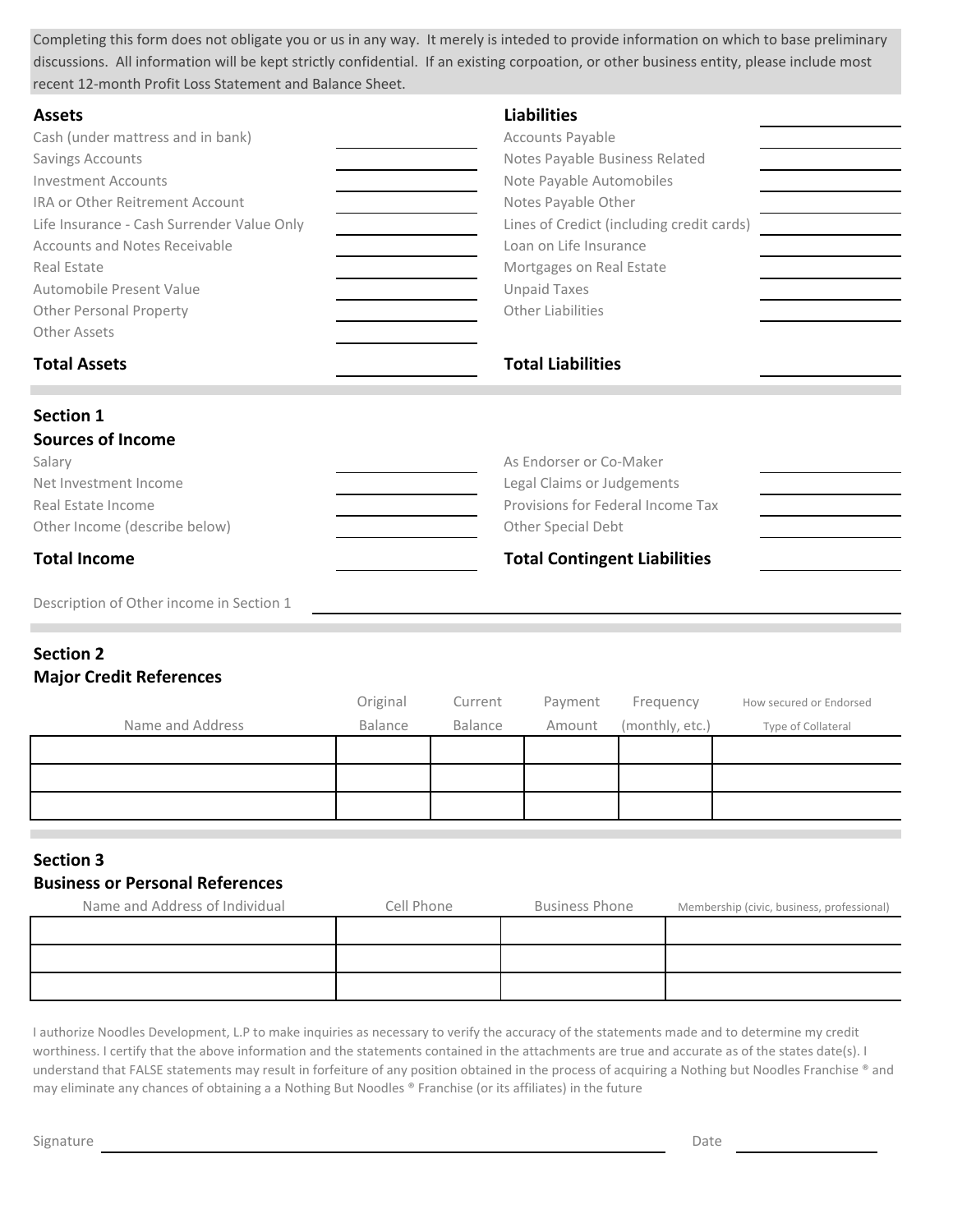Completing this form does not obligate you or us in any way. It merely is inteded to provide information on which to base preliminary discussions. All information will be kept strictly confidential. If an existing corpoation, or other business entity, please include most recent 12-month Profit Loss Statement and Balance Sheet.

| <b>Assets</b>                              | <b>Liabilities</b>                        |
|--------------------------------------------|-------------------------------------------|
| Cash (under mattress and in bank)          | Accounts Payable                          |
| Savings Accounts                           | Notes Payable Business Related            |
| <b>Investment Accounts</b>                 | Note Payable Automobiles                  |
| IRA or Other Reitrement Account            | Notes Payable Other                       |
| Life Insurance - Cash Surrender Value Only | Lines of Credict (including credit cards) |
| Accounts and Notes Receivable              | Loan on Life Insurance                    |
| Real Estate                                | Mortgages on Real Estate                  |
| Automobile Present Value                   | <b>Unpaid Taxes</b>                       |
| <b>Other Personal Property</b>             | Other Liabilities                         |
| Other Assets                               |                                           |
|                                            |                                           |
| <b>Total Assets</b>                        | <b>Total Liabilities</b>                  |
| <b>Section 1</b>                           |                                           |
| <b>Sources of Income</b>                   |                                           |
| Salary                                     | As Endorser or Co-Maker                   |
| Net Investment Income                      | Legal Claims or Judgements                |
| Real Estate Income                         | Provisions for Federal Income Tax         |
| Other Income (describe below)              | Other Special Debt                        |

Description of Other income in Section 1

# **Section 2**

#### **Major Credit References**

|                  | Original | Current | Payment | Frequency       | How secured or Endorsed |
|------------------|----------|---------|---------|-----------------|-------------------------|
| Name and Address | Balance  | Balance | Amount  | (monthly, etc.) | Type of Collateral      |
|                  |          |         |         |                 |                         |
|                  |          |         |         |                 |                         |
|                  |          |         |         |                 |                         |

# **Section 3**

## **Business or Personal References**

| Name and Address of Individual | Cell Phone | <b>Business Phone</b> | Membership (civic, business, professional) |
|--------------------------------|------------|-----------------------|--------------------------------------------|
|                                |            |                       |                                            |
|                                |            |                       |                                            |
|                                |            |                       |                                            |

I authorize Noodles Development, L.P to make inquiries as necessary to verify the accuracy of the statements made and to determine my credit worthiness. I certify that the above information and the statements contained in the attachments are true and accurate as of the states date(s). I understand that FALSE statements may result in forfeiture of any position obtained in the process of acquiring a Nothing but Noodles Franchise ® and may eliminate any chances of obtaining a a Nothing But Noodles ® Franchise (or its affiliates) in the future